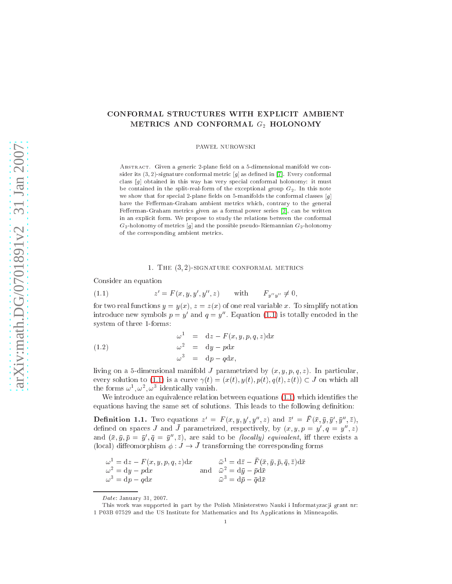# CONFORMAL STRUCTURES WITH EXPLICIT AMBIENT METRICS AND CONFORMAL  $G_2$  HOLONOMY

PAWEŁ NUROWSKI

ABSTRACT. Given a generic 2-plane field on a 5-dimensional manifold we consider its  $(3, 2)$ -signature conformal metric  $[g]$  as defined in [7]. Every conformal class  $[g]$  obtained in this way has very special conformal holonomy: it must be contained in the split-real-form of the exceptional group  $G_2$ . In this note we show that for special 2-plane fields on 5-manifolds the conformal classes  $[g]$ have the Fefferman-Graham ambient metrics which, contrary to the general Fefferman-Graham metrics given as a formal power series [2], can be written in an explicit form. We propose to study the relations between the conformal  $G_2$ -holonomy of metrics [g] and the possible pseudo-Riemannian  $G_2$ -holonomy of the orresponding ambient metri
s.

# 1. THE  $(3, 2)$ -SIGNATURE CONFORMAL METRICS

Consider an equation

<span id="page-0-0"></span>(1.1) 
$$
z' = F(x, y, y', y'', z) \text{ with } F_{y''y''} \neq 0,
$$

for two real functions  $y = y(x)$ ,  $z = z(x)$  of one real variable x. To simplify notation introduce new symbols  $p = y$  and  $q = y$ . Equation [\(1.1\)](#page-0-0) is totally encoded in the system of three 1-forms:

(1.2) 
$$
\begin{aligned}\n\omega^1 &= \mathrm{d}z - F(x, y, p, q, z) \mathrm{d}x \\
\omega^2 &= \mathrm{d}y - p \mathrm{d}x \\
\omega^3 &= \mathrm{d}p - q \mathrm{d}x,\n\end{aligned}
$$

living on a 5-dimensional manifold J parametrized by  $(x, y, p, q, z)$ . In particular, every solution to [\(1.1\)](#page-0-0) is a curve  $\gamma(t) = (x(t), y(t), p(t), q(t), z(t)) \subset J$  on which all  $\lim_{\omega \to 0} \omega, \omega, \omega$  identically vanish.

<span id="page-0-1"></span>We introduce an equivalence relation between equations [\(1.1\)](#page-0-0) which identifies the equations having the same set of solutions. This leads to the following definition:

**Definition 1.1.** Two equations  $z' = F(x, y, y', y'', z)$  and  $\bar{z}' = F(\bar{x}, \bar{y}, \bar{y}', \bar{y}'', \bar{z})$ , defined on spaces J and J parametrized, respectively, by  $(x, y, p = y, q = y, z)$ and  $(x, y, p = y, q = y, z)$ , are said to be *(locally)* equivalent, in there exists a (local) diffeomorphism  $\phi: J \to \bar{J}$  transforming the corresponding forms

$$
\omega^1 = dz - F(x, y, p, q, z) dx \qquad \overline{\omega}^1 = d\overline{z} - F(\overline{x}, \overline{y}, \overline{p}, \overline{q}, \overline{z}) d\overline{x}
$$
  

$$
\omega^2 = dy - pdx \qquad \text{and} \qquad \overline{\omega}^2 = d\overline{y} - \overline{p} d\overline{x}
$$
  

$$
\omega^3 = dp - qdx \qquad \overline{\omega}^3 = d\overline{p} - \overline{q} d\overline{x}
$$

Date: January 31, 2007.

This work was supported in part by the Polish Ministerstwo Nauki i Informatyza
ji grant nr: 1 P03B 07529 and the US Institute for Mathemati
s and Its Appli
ations in Minneapolis.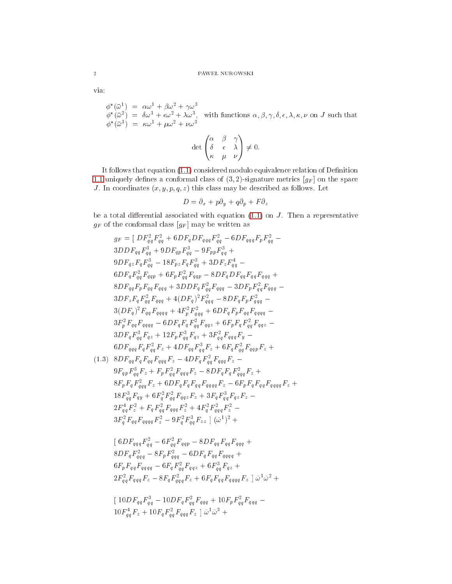via:

 $\begin{array}{lll} \phi^*(\bar{\omega}^1) & = & \alpha\omega^1 + \beta\omega^2 + \gamma\omega^3 \\ \phi^*(\bar{\omega}^2) & = & \delta\omega^1 + \epsilon\omega^2 + \lambda\omega^3, \quad \text{with functions } \alpha, \beta, \gamma, \delta, \epsilon, \lambda, \kappa, \nu \text{ on } J \text{ such that} \\ \phi^*(\bar{\omega}^3) & = & \kappa\omega^1 + \mu\omega^2 + \nu\omega^3 \end{array}$ 

$$
\det \begin{pmatrix} \alpha & \beta & \gamma \\ \delta & \epsilon & \lambda \\ \kappa & \mu & \nu \end{pmatrix} \neq 0.
$$

It follows that equation (1.1) considered modulo equivalence relation of Definition 1.1 uniquely defines a conformal class of  $(3,2)$ -signature metrics  $[g_F]$  on the space J. In coordinates  $(x, y, p, q, z)$  this class may be described as follows. Let

$$
D = \partial_x + p\partial_y + q\partial_p + F\partial_z
$$

<span id="page-1-0"></span>be a total differential associated with equation  $(1.1)$  on J. Then a representative  $g_F$  of the conformal class  $[g_F]$  may be written as

$$
g_F = [DF_{qq}^2 F_{qq}^2 + 6DF_q DF_{qqq} F_{qq}^2 - 6DF_{qqq} F_p F_{qq}^2 - 3DDF_{qq} F_{qq}^3 + 9DF_{qp} F_{qq}^3 - 9F_{pp} F_{qq}^3 + 9DF_{q} F_{qq}^3 + 9DF_{q} F_{qq}^3 + 3DF_z F_q^4 - 6DF_q F_{qq}^2 F_{qqq} + 6F_p F_{qq}^2 F_{qqp} - 8DF_q DF_q F_{qq} F_{qq} F_{qqq} + 8DF_q F_{qq} F_{pqq} F_{qqq} + 3DDF_q F_{qq}^2 F_{qqq} - 3DF_p F_{qq}^2 F_{qqq} - 3DF_z F_q F_{qq}^2 F_{qqq} - 3DF_z F_q F_{qq}^2 F_{qqq} + 4(DF_q)^2 F_{qq}^2 - 8DF_q F_p F_{qq}^2 - 3(DF_q)^2 F_{qq} F_{qqqq} + 4F_p^2 F_{qqq}^2 + 6DF_q F_p F_{qq} F_{qqqq} - 3F_p^2 F_{qq} F_{qqqq} - 3F_p^2 F_{qq} F_{qqqq} - 3F_p^2 F_{qq} F_{qqqq} - 6DF_q F_q F_q^2 F_{qq} + 6F_p F_q F_q^2 F_{qqq} - 3F_q F_q F_q^3 F_{qq} + 12F_p F_q^3 F_{qq} + 3F_q^2 F_{qqq} F_{qqq} - 6DF_{qq} F_q^2 F_{qq} F_{qqq} F_{qq} - 6DF_{qq} F_q^2 F_{qq} F_{qqq} F_{qq} + 6F_q F_q^2 F_{qq} F_{qqp} F_z + 6DF_{qq} F_q^2 F_{qqp} F_z + 6F_q F_q^2 F_{qqp} F_z + 6F_q F_q^2 F_{qqp} F_z + 6F_q F_q^2 F_{qqp} F_z + 6F_q F_q^2 F_{qqp} F_z + 6F_q F_q^2 F_{qqp} F_z + 6F_q F_q^2 F_{qqp} F_z + 6F_q F_q^2 F_{qqp} F_z + 6F_q F_q^2 F_{qqp} F_z + 6F_q F_q^2 F_{qqp} F_z + 6F_q F_q^2 F_{qqp} F_z + 6F_q F_q^2 F_{qqp} F_z + 6F_q F_q^2 F_{qqp} F_z + 6F_q F_q^2 F_{qqp}
$$

$$
(1.3) \quad 8DF_{qq}F_{q\,q}F_{qq}F_{qqq}F_z - 4DF_qF_{qq}^2F_{qqq}F_z - 9F_{qp}F_{qq}^3F_z + F_pF_{qq}^2F_{qqq}F_z - 8DF_qF_qF_{qqq}F_z + 8F_pF_qF_{qqq}F_z + 6DF_qF_qF_{qq}F_{qqq}F_{qqq}F_z - 6F_pF_qF_{qq}F_{qq}F_{qqq}F_z + 18F_q^3F_{qq}F_{q\,q} + 6F_q^2F_{qq}^2F_{qq}F_z + 3F_qF_q^3F_{q\,z}F_z - 2F_q^4F_z^2 + F_qF_q^2F_{qqq}F_z^2 + 4F_q^2F_q^2F_{qqq}F_z^2 - 3F_q^2F_{qq}F_{qqqq}F_z^2 - 9F_q^2F_{qq}^3F_{zz} \mid (\tilde{\omega}^1)^2 +
$$

$$
\begin{aligned} &\left[ \ 6 D F_{qqq} F_{qq}^2 - 6 F_{qq}^2 F_{qqp} - 8 D F_{qq} F_{qq} F_{qqq} + \right.\\ &\left. 8 D F_q F_{qqq}^2 - 8 F_p F_{qqq}^2 - 6 D F_q F_{qq} F_{qqqq} + \right.\\ &\left. 6 F_p F_{qq} F_{qqqq} - 6 F_q F_{qq}^2 F_{qqz} + 6 F_{qq}^3 F_{qz} + \right.\\ &\left. 2 F_{qq}^2 F_{qqq} F_z - 8 F_q F_{qqq}^2 F_z + 6 F_q F_{qq} F_{qqqq} F_z \ \right] \tilde{\omega}^1 \tilde{\omega}^2 \ + \end{aligned}
$$

$$
\left[\right. \frac{10DF_{qq}F_{qq}^3 - 10DF_qF_{qq}^2F_{qqq} + 10F_pF_{qq}^2F_{qqq}}{10F_{qq}^4F_z + 10F_qF_{qq}^2F_{qqq}F_z} \left[\right. \tilde{\omega}^1\tilde{\omega}^3 + \right.
$$

 $\overline{2}$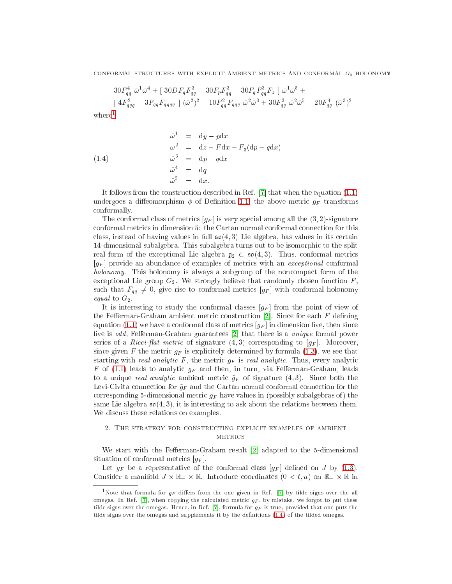$$
30F_{qq}^4 \tilde{\omega}^1 \tilde{\omega}^4 + [30DF_q F_{qq}^3 - 30F_p F_{qq}^3 - 30F_q F_{qq}^3 F_z] \tilde{\omega}^1 \tilde{\omega}^5 +
$$
  
\n
$$
[4F_{qqq}^2 - 3F_{qq} F_{qqqq}] (\tilde{\omega}^2)^2 - 10F_{qq}^2 F_{qqq} \tilde{\omega}^2 \tilde{\omega}^3 + 30F_{qq}^3 \tilde{\omega}^2 \tilde{\omega}^5 - 20F_{qq}^4 (\tilde{\omega}^3)^2
$$

 $where<sup>1</sup>$  $where<sup>1</sup>$  $where<sup>1</sup>$ 

<span id="page-2-1"></span>(1.4)  
\n
$$
\begin{aligned}\n\tilde{\omega}^1 &= \mathrm{d}y - p\mathrm{d}x \\
\tilde{\omega}^2 &= \mathrm{d}z - F\mathrm{d}x - F_q(\mathrm{d}p - q\mathrm{d}x) \\
\tilde{\omega}^3 &= \mathrm{d}p - q\mathrm{d}x \\
\tilde{\omega}^4 &= \mathrm{d}q \\
\tilde{\omega}^5 &= \mathrm{d}x.\n\end{aligned}
$$

It follows from the construction described in Ref.  $[7]$  that when the equation  $(1.1)$ undergoes a diffeomorphism  $\phi$  of Definition [1.1,](#page-0-1) the above metric  $g_F$  transforms onformally.

The conformal class of metrics  $[g_F]$  is very special among all the  $(3, 2)$ -signature onformal metri
s in dimension 5: the Cartan normal onformal onne
tion for this class, instead of having values in full  $\mathfrak{so}(4,3)$  Lie algebra, has values in its certain 14-dimensional subalgebra. This subalgebra turns out to be isomorphi to the split real form of the exceptional Lie algebra  $g_2 \text{ }\subset \text{ } \mathfrak{so}(4,3)$ . Thus, conformal metrics  $[g_F]$  provide an abundance of examples of metrics with an *exceptional* conformal holonomy. This holonomy is always a subgroup of the noncompact form of the exceptional Lie group  $G_2$ . We strongly believe that randomly chosen function  $F_1$ such that  $F_{qq} \neq 0$ , give rise to conformal metrics  $[g_F]$  with conformal holonomy equal to  $G_2$ .

It is interesting to study the conformal classes  $[g_F]$  from the point of view of the Fefferman-Graham ambient metric construction [2]. Since for each  $F$  defining equation [\(1.1\)](#page-0-0) we have a conformal class of metrics  $[g_F]$  in dimension five, then since five is odd, Fefferman-Graham guarantees  $[2]$  that there is a *unique* formal power series of a Ricci-flat metric of signature  $(4,3)$  corresponding to  $[g_F]$ . Moreover, since given F the metric  $g_F$  is explicitely determined by formula [\(1.3\)](#page-1-0), we see that starting with *real analytic*  $F$ , the metric  $g_F$  is *real analytic*. Thus, every analytic F of [\(1.1\)](#page-0-0) leads to analytic  $g_F$  and then, in turn, via Fefferman-Graham, leads to a unique *real analytic* ambient metric  $\tilde{g}_F$  of signature (4,3). Since both the Levi-Civita connection for  $\tilde{g}_F$  and the Cartan normal conformal connection for the corresponding 5-dimensional metric  $g_F$  have values in (possibly subalgebras of) the same Lie algebra  $\mathfrak{so}(4,3)$ , it is interesting to ask about the relations between them. We discuss these relations on examples.

# 2. THE STRATEGY FOR CONSTRUCTING EXPLICIT EXAMPLES OF AMBIENT **METRICS**

<span id="page-2-2"></span>We start with the Fefferman-Graham result  $[2]$  adapted to the 5-dimensional situation of conformal metrics  $[g_F]$ .

Let  $g_F$  be a representative of the conformal class  $[g_F]$  defined on J by [\(1.3\)](#page-1-0). Consider a manifold J - R+ - R. Introdu
e oordinates (0 <sup>&</sup>lt; t; u) on R+ - <sup>R</sup> in

<span id="page-2-0"></span><sup>&</sup>lt;sup>1</sup>Note that formula for  $q_F$  differs from the one given in Ref. [7] by tilde signs over the all omegas. In Ref. [7], when copying the calculated metric  $q_F$ , by mistake, we forgot to put these tilde signs over the omegas. Hence, in Ref. [7], formula for  $g_F$  is true, provided that one puts the tilde signs over the omegas and supplements it by the definitions [\(1.4\)](#page-2-1) of the tilded omegas.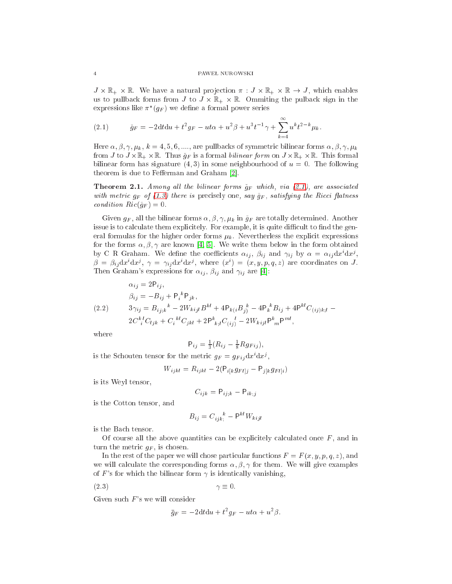J - R+ - R. We have a natural pro je
tion : J - R+ - <sup>R</sup> ! J , whi
h enables us to pullba
k forms from J to J - R+ - R. Ommiting the pulba
k sign in the expressions like  $\pi$  ( $g_F$ ) we define a formal power series

<span id="page-3-0"></span>(2.1) 
$$
\check{g}_F = -2dt du + t^2 g_F - ut\alpha + u^2\beta + u^3 t^{-1} \gamma + \sum_{k=4}^{\infty} u^k t^{2-k} \mu_k.
$$

Here  $\alpha, \beta, \gamma, \mu_k, k = 4, 5, 6, \dots$ , are pullbacks of symmetric bilinear forms  $\alpha, \beta, \gamma, \mu_k$ restrict to J and the formal property and the formal bilinear formal bilinear formal bilinear formal bilinear bilinear form has signature  $(4, 3)$  in some neighbourhood of  $u = 0$ . The following theorem is due to Fefferman and Graham [2].

<span id="page-3-1"></span>**Theorem 2.1.** Among all the bilinear forms  $\check{g}_F$  which, via [\(2.1\)](#page-3-0), are associated with metric  $g_F$  of [\(1.3\)](#page-1-0) there is precisely one, say  $\tilde{g}_F$ , satisfying the Ricci flatness condition  $Ric(\tilde{g}_F) = 0.$ 

Given  $g_F$ , all the bilinear forms  $\alpha, \beta, \gamma, \mu_k$  in  $\tilde{g}_F$  are totally determined. Another issue is to calculate them explicitely. For example, it is quite difficult to find the general formulas for the higher order forms  $\mu_k$ . Nevertherless the explicit expressions for the forms  $\alpha, \beta, \gamma$  are known [\[4,](#page-9-2) 5]. We write them below in the form obtained by  $C$  **R** Graham. We define the coefficients  $\alpha_{ij}$ ,  $\rho_{ij}$  and  $\gamma_{ij}$  by  $\alpha = \alpha_{ij} a x \, a x^j$ ,  $\rho = \rho_{ij} dx dx'$ ,  $\gamma = \gamma_{ij} dx dx''$ , where  $(x^{\prime}) = (x, y, p, q, z)$  are coordinates on J. Then Graham's expressions for  $\alpha_{ij}$ ,  $\beta_{ij}$  and  $\gamma_{ij}$  are [4]:

<span id="page-3-2"></span>
$$
\alpha_{ij} = 2\mathsf{P}_{ij},
$$
\n
$$
\beta_{ij} = -B_{ij} + \mathsf{P}_i^{\ k} \mathsf{P}_{jk},
$$
\n
$$
3\gamma_{ij} = B_{ij;k}^{\ k} - 2W_{kijl}B^{kl} + 4\mathsf{P}_{k(i}B_j^{\ k} - 4\mathsf{P}_k^{\ k}B_{ij} + 4\mathsf{P}^{kl}C_{(ij)k;l} - 2C_i^{\ k}C_{ljk} + C_i^{\ k}C_{jkl} + 2\mathsf{P}_{kj}^{\ k}C_{(ij)}^{\ l} - 2W_{kijl}\mathsf{P}_{m}^{\ k} \mathsf{P}_{m}^{ml},
$$

where

$$
\mathsf{P}_{ij} = \frac{1}{3}(R_{ij} - \frac{1}{8}Rg_{Fij}),
$$

is the Schouten tensor for the metric  $g_F = g_{Fij} dx$  ax<sup>2</sup>,

$$
W_{ijkl} = R_{ijkl} - 2(P_{i[k}g_{Fl]j} - P_{j[k}g_{Fl]i})
$$

is its Weyl tensor,

$$
C_{ijk} = \mathsf{P}_{ij;k} - \mathsf{P}_{ik;j}
$$

is the Cotton tensor, and

$$
B_{ij} = C_{ijk}^{\ \ k} - \mathsf{P}^{kl} W_{kijl}
$$

is the Ba
h tensor.

Of course all the above quantities can be explicitely calculated once  $F$ , and in turn the metric  $g_F$ , is chosen.

In the rest of the paper we will chose particular functions  $F = F(x, y, p, q, z)$ , and we will calculate the corresponding forms  $\alpha, \beta, \gamma$  for them. We will give examples of F's for which the bilinear form  $\gamma$  is identically vanishing,

 $(2.3)$   $\gamma \equiv 0.$ 

Given such  $F$ 's we will consider

$$
\bar{g}_F = -2dt du + t^2 g_F - ut\alpha + u^2\beta.
$$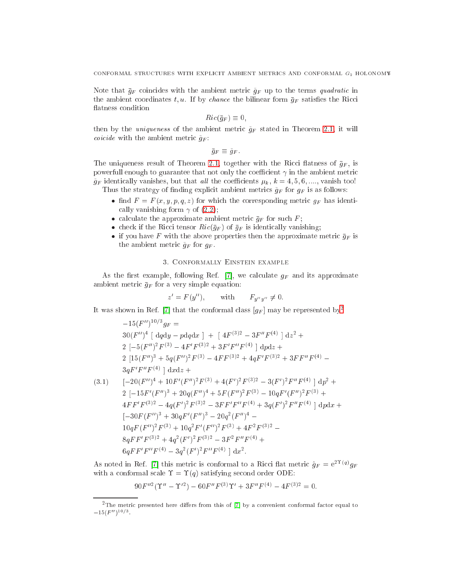Note that  $\bar{g}_F$  coincides with the ambient metric  $\tilde{g}_F$  up to the terms quadratic in the ambient coordinates t, u. If by chance the bilinear form  $\bar{g}_F$  satisfies the Ricci flatness condition

$$
Ric(\bar{g}_F) \equiv 0,
$$

then by the *uniqueness* of the ambient metric  $\tilde{g}_F$  stated in Theorem [2.1,](#page-3-1) it will *coicide* with the ambient metric  $\tilde{g}_F$ :

 $\bar{g}_F \equiv \tilde{g}_F$ .

The uniqueness result of Theorem [2.1,](#page-3-1) together with the Ricci flatness of  $\bar{g}_F$ , is powerfull enough to guarantee that not only the coefficient  $\gamma$  in the ambient metric  $\tilde{g}_F$  identically vanishes, but that all the coefficients  $\mu_k$ ,  $k = 4, 5, 6, \dots$ , vanish too! Thus the strategy of finding explicit ambient metrics  $\tilde{g}_F$  for  $g_F$  is as follows:

- nd <sup>F</sup> <sup>=</sup> <sup>F</sup> (x; y; p; q; z) for whi
h the orresponding metri gF has identi cally vanishing form  $\gamma$  of [\(2.2\)](#page-3-2);
- alter the approximate ambient metric metric  $\bm{H} \mathbf{F}$
- in tensor Richard Company Richard (gF ) of gF is identified (gF ) company (group)
- if you have found the above the above properties the above properties metric metric the approximate  $g\mu$  is the the ambient metric  $\tilde{g}_F$  for  $g_F$ .

### 3. Conformally Einstein example

As the first example, following Ref. [7], we calculate  $g_F$  and its approximate ambient metric  $\bar{g}_F$  for a very simple equation:

$$
z' = F(y''), \quad \text{with} \quad F_{y''y''} \neq 0.
$$

It was shown in Ref. [7] that the conformal class  $[g_F]$  may be represented by<sup>[2](#page-4-0)</sup>

<span id="page-4-1"></span>
$$
-15(F'')^{10/3}g_F =
$$
  
\n
$$
30(F'')^4 \left[ dqdy - pdqdx \right] + \left[ 4F^{(3)2} - 3F''F^{(4)} \right] dz^2 +
$$
  
\n
$$
2 \left[ -5(F'')^2F^{(3)} - 4F'F^{(3)2} + 3F'F''F^{(4)} \right] dpdz +
$$
  
\n
$$
2 \left[ 15(F'')^3 + 5q(F'')^2F^{(3)} - 4FF^{(3)2} + 4qF'F^{(3)2} + 3FF''F^{(4)} -
$$
  
\n
$$
3qF'F''F^{(4)} \right] dxdz +
$$
  
\n
$$
(-20(F'')^4 + 10F'(F'')^2F^{(3)} + 4(F')^2F^{(3)2} - 3(F')^2F''F^{(4)} \right] dp^2 +
$$
  
\n
$$
2 \left[ -15F'(F'')^3 + 20q(F'')^4 + 5F(F'')^2F^{(3)} - 10qF'(F'')^2F^{(3)} +
$$
  
\n
$$
4FF'F^{(3)2} - 4q(F')^2F^{(3)2} - 3FF'F''F^{(4)} + 3q(F')^2F''F^{(4)} \right] dpdx +
$$
  
\n
$$
[-30F(F'')^3 + 30qF'(F'')^3 - 20q^2(F'')^4 -
$$
  
\n
$$
10qF(F'')^2F^{(3)} + 10q^2F'(F'')^2F^{(3)} + 4F^2F^{(3)2} -
$$
  
\n
$$
8qFF'F^{(3)2} + 4q^2(F')^2F^{(3)2} - 3F^2F''F^{(4)} +
$$
  
\n
$$
6qFF'F''F^{(4)} - 3q^2(F')^2F''F^{(4)} \right] dx^2.
$$

As noted in Ref. [7] this metric is conformal to a Ricci nat metric  $g_F = \mathrm{e}^{-\frac{1}{2} \alpha / g_F}$ with a conformal scale  $\Upsilon = \Upsilon(q)$  satisfying second order ODE:

$$
90F''^{2}(\Upsilon'' - \Upsilon'^{2}) - 60F''F^{(3)}\Upsilon' + 3F''F^{(4)} - 4F^{(3)2} = 0.
$$

<span id="page-4-0"></span><sup>&</sup>lt;sup>2</sup>The metric presented here differs from this of [7] by a convenient conformal factor equal to  $-10(F)$  )  $\cdot$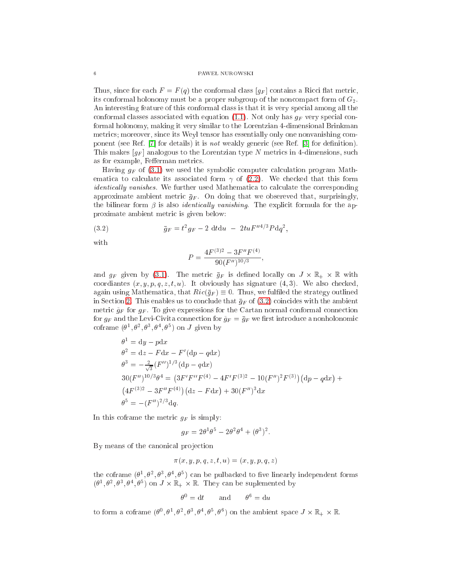#### 6 PAWEŁ NUROWSKI

Thus, since for each  $F = F(q)$  the conformal class  $[g_F]$  contains a Ricci flat metric, its conformal holonomy must be a proper subgroup of the noncompact form of  $G_2$ . An interesting feature of this conformal class is that it is very special among all the conformal classes associated with equation [\(1.1\)](#page-0-0). Not only has  $g_F$  very special conformal holonomy, making it very similar to the Lorentzian 4-dimensional Brinkman metrics; moreover, since its Weyl tensor has essentially only one nonvanishing component (see Ref.  $|7|$  for details) it is *not* weakly generic (see Ref.  $|3|$  for definition). This makes  $[g_F]$  analogous to the Lorentzian type N metrics in 4-dimensions, such as for example, Fefferman metrics.

Having  $g_F$  of [\(3.1\)](#page-4-1) we used the symbolic computer calculation program Mathematica to calculate its associated form  $\gamma$  of [\(2.2\)](#page-3-2). We checked that this form identically vanishes. We further used Mathematica to calculate the corresponding approximate ambient metric  $\bar{g}_F$ . On doing that we obsereved that, surprisingly, the bilinear form  $\beta$  is also *identically vanishing*. The explicit formula for the approximate ambient metri is given below:

<span id="page-5-0"></span>(3.2) 
$$
\bar{g}_F = t^2 g_F - 2 \text{ d} t \text{d} u - 2tu F''^{4/3} P \text{d} q^2,
$$

with

$$
P = \frac{4F^{(3)2} - 3F''F^{(4)}}{90(F'')^{10/3}},
$$

and  $g_{\perp}$ . The metric on  $g_{\perp}$  is denoted the metric on  $g_{\perp}$  is denoted the metric on  $\sim$ coordiantes  $(x, y, p, q, z, t, u)$ . It obviously has signature  $(4, 3)$ . We also checked, again using Mathematica, that  $Ric(\bar{g}_F) \equiv 0$ . Thus, we fulfiled the strategy outlined in Section [2.](#page-2-2) This enables us to conclude that  $\bar{g}_F$  of [\(3.2\)](#page-5-0) coincides with the ambient metric  $\tilde{g}_F$  for  $g_F$ . To give expressions for the Cartan normal conformal connection for  $g_F$  and the Levi-Civita connection for  $\tilde{g}_F = \bar{g}_F$  we first introduce a nonholonomic corrame  $\sigma$ ,  $\sigma$ ,  $\sigma$ ,  $\sigma$ ,  $\sigma$  ) on J given by

$$
\theta^{1} = dy - pdx
$$
  
\n
$$
\theta^{2} = dz - Fdx - F'(dp - qdx)
$$
  
\n
$$
\theta^{3} = -\frac{2}{\sqrt{3}} (F'')^{1/3} (dp - qdx)
$$
  
\n
$$
30 (F'')^{10/3} \theta^{4} = (3F'F''F^{(4)} - 4F'F^{(3)2} - 10(F'')^{2}F^{(3)}) (dp - qdx) + (4F^{(3)2} - 3F''F^{(4)}) (dz - Fdx) + 30(F'')^{3} dx
$$
  
\n
$$
\theta^{5} = -(F'')^{2/3} dq.
$$

In this coframe the metric  $g_F$  is simply:

$$
g_F = 2\theta^1\theta^5 - 2\theta^2\theta^4 + (\theta^3)^2.
$$

By means of the canonical projection

$$
\pi(x, y, p, q, z, t, u) = (x, y, p, q, z)
$$

the corrame  $(\sigma^*, \sigma^*, \sigma^*, \sigma^*)$  can be pulbacked to live imearly independent forms ( <sup>1</sup> ; <sup>2</sup> ; <sup>3</sup> ; <sup>4</sup> ; <sup>5</sup> ) on J - R+ - R. They an be suplemented by

$$
\theta^0 = dt \qquad \text{and} \qquad \theta^6 = du
$$

to form a corrame  $(\theta^*, \theta^*, \theta^*, \theta^*, \theta^*, \theta^*)$  on the ambient space  $J \times \mathbb{R}_+ \times \mathbb{R}$ .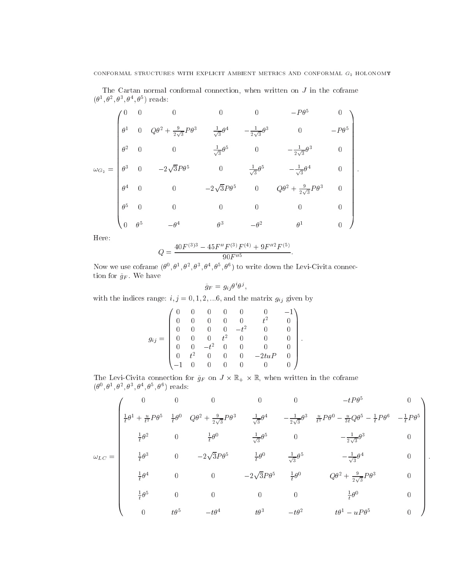The Cartan normal conformal connection, when written on  $J$  in the coframe  $(0, 0, 0, 0, 0, 0, 0, 0)$ 

$$
\omega_{G_2} = \begin{pmatrix}\n0 & 0 & 0 & 0 & 0 & -P\theta^5 & 0 \\
\theta^1 & 0 & Q\theta^2 + \frac{9}{2\sqrt{3}}P\theta^3 & \frac{1}{\sqrt{3}}\theta^4 & -\frac{1}{2\sqrt{3}}\theta^3 & 0 & -P\theta^5 \\
\theta^2 & 0 & 0 & \frac{1}{\sqrt{3}}\theta^5 & 0 & -\frac{1}{2\sqrt{3}}\theta^3 & 0 \\
\theta^3 & 0 & -2\sqrt{3}P\theta^5 & 0 & \frac{1}{\sqrt{3}}\theta^5 & -\frac{1}{\sqrt{3}}\theta^4 & 0 \\
\theta^4 & 0 & 0 & -2\sqrt{3}P\theta^5 & 0 & Q\theta^2 + \frac{9}{2\sqrt{3}}P\theta^3 & 0 \\
\theta^5 & 0 & 0 & 0 & 0 & 0 & 0 \\
0 & \theta^5 & -\theta^4 & \theta^3 & -\theta^2 & \theta^1 & 0\n\end{pmatrix}.
$$

Here:

$$
Q = \frac{40F^{(3)3} - 45F''F^{(3)}F^{(4)} + 9F''^{2}F^{(5)}}{90F''^{5}}.
$$

Now we use corraine  $\sigma$ ,  $\sigma$ ,  $\sigma$ ,  $\sigma$ ,  $\sigma$ ,  $\sigma$ ,  $\sigma$ ) to write down the Levi-Civita connection for  $\tilde{g}_F.$  We have

$$
\tilde{g}_F = g_{ij}\theta^i\theta^j,
$$

with the indices range:  $i, j = 0, 1, 2, \dots 6$ , and the matrix  $g_{ij}$  given by

$$
g_{ij} = \begin{pmatrix} 0 & 0 & 0 & 0 & 0 & 0 & -1 \\ 0 & 0 & 0 & 0 & 0 & t^2 & 0 \\ 0 & 0 & 0 & 0 & -t^2 & 0 & 0 \\ 0 & 0 & 0 & t^2 & 0 & 0 & 0 \\ 0 & 0 & -t^2 & 0 & 0 & 0 & 0 \\ 0 & t^2 & 0 & 0 & 0 & -2tuP & 0 \\ -1 & 0 & 0 & 0 & 0 & 0 & 0 \end{pmatrix}.
$$

 $T$  -civita  $T$  -civitation in the  $T$  -civitation in the  $T$  -civitation in the  $T$  $(0^-, 0^-, 0^-, 0^-, 0^-, 0^-, 0^+)$  reads:

$$
\omega_{LC} = \begin{pmatrix}\n0 & 0 & 0 & 0 & 0 & 0 & -tP\theta^5 & 0 \\
\frac{1}{t}\theta^1 + \frac{u}{t^2}P\theta^5 & \frac{1}{t}\theta^0 & Q\theta^2 + \frac{9}{2\sqrt{3}}P\theta^3 & \frac{1}{\sqrt{3}}\theta^4 & -\frac{1}{2\sqrt{3}}\theta^3 & \frac{u}{t^2}P\theta^0 - \frac{u}{3t}Q\theta^5 - \frac{1}{t}P\theta^6 & -\frac{1}{t}P\theta^5 \\
\frac{1}{t}\theta^2 & 0 & \frac{1}{t}\theta^0 & \frac{1}{\sqrt{3}}\theta^5 & 0 & -\frac{1}{2\sqrt{3}}\theta^3 & 0 \\
\frac{1}{t}\theta^3 & 0 & -2\sqrt{3}P\theta^5 & \frac{1}{t}\theta^0 & \frac{1}{\sqrt{3}}\theta^5 & -\frac{1}{\sqrt{3}}\theta^4 & 0 \\
\frac{1}{t}\theta^4 & 0 & 0 & -2\sqrt{3}P\theta^5 & \frac{1}{t}\theta^0 & Q\theta^2 + \frac{9}{2\sqrt{3}}P\theta^3 & 0 \\
\frac{1}{t}\theta^5 & 0 & 0 & 0 & 0 & \frac{1}{t}\theta^0 & 0 \\
0 & t\theta^5 & -t\theta^4 & t\theta^3 & -t\theta^2 & t\theta^1 - uP\theta^5 & 0\n\end{pmatrix}
$$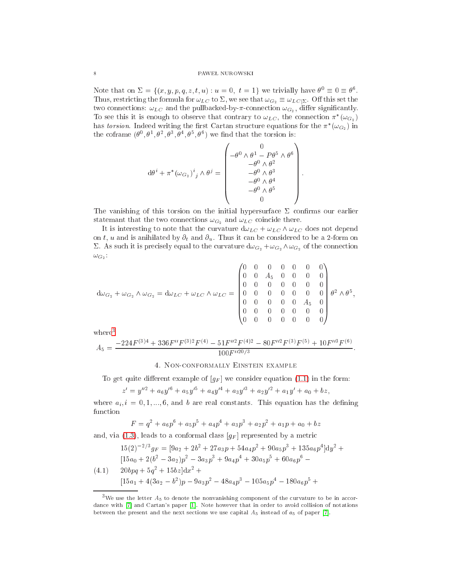Note that on  $\Sigma = \{(x, y, p, q, z, t, u) : u = 0, t = 1\}$  we trivially have  $\theta^0 \equiv 0 \equiv \theta^6$ . Thus, restricting the formula for  $\omega_{LC}$  to  $\Sigma$ , we see that  $\omega_{G_2} \equiv \omega_{LC|\Sigma}$ . Off this set the two connections:  $\omega_{LC}$  and the pullbacked-by- $\pi$ -connection  $\omega_{G_2}$ , differ significantly. To see this it is enough to observe that contrary to  $\omega_{LC}$ , the connection  $\pi^*(\omega_{G_2})$ has *torsion*. Indeed writing the first Cartan structure equations for the  $\pi^*(\omega_{G_2})$  in the coframe  $(\theta^0, \theta^1, \theta^2, \theta^3, \theta^4, \theta^5, \theta^6)$  we find that the torsion is:

$$
\mathrm{d}\theta^i + \pi^*(\omega_{G_2})^i{}_j \wedge \theta^j = \begin{pmatrix} 0 \\ -\theta^0 \wedge \theta^1 - P\theta^5 \wedge \theta^6 \\ -\theta^0 \wedge \theta^2 \\ -\theta^0 \wedge \theta^3 \\ -\theta^0 \wedge \theta^4 \\ -\theta^0 \wedge \theta^5 \\ 0 \end{pmatrix}
$$

The vanishing of this torsion on the initial hypersurface  $\Sigma$  confirms our earlier statemant that the two connections  $\omega_{G_2}$  and  $\omega_{LC}$  coincide there.

It is interesting to note that the curvature  $d\omega_{LC} + \omega_{LC} \wedge \omega_{LC}$  does not depend on t, u and is anihilated by  $\partial_t$  and  $\partial_u$ . Thus it can be considered to be a 2-form on  $\Sigma$ . As such it is precisely equal to the curvature  $d\omega_{G_2} + \omega_{G_2} \wedge \omega_{G_2}$  of the connection  $\omega_{G_2}$  :

$$
d\omega_{G_2} + \omega_{G_2} \wedge \omega_{G_2} = d\omega_{LC} + \omega_{LC} \wedge \omega_{LC} = \begin{pmatrix} 0 & 0 & 0 & 0 & 0 & 0 & 0 \\ 0 & 0 & A_5 & 0 & 0 & 0 & 0 \\ 0 & 0 & 0 & 0 & 0 & 0 & 0 \\ 0 & 0 & 0 & 0 & 0 & 0 & 0 \\ 0 & 0 & 0 & 0 & 0 & A_5 & 0 \\ 0 & 0 & 0 & 0 & 0 & 0 & 0 \end{pmatrix} \theta^2 \wedge \theta^5,
$$

 $where<sup>3</sup>$ 

$$
A_5 = \frac{-224F^{(3)4} + 336F''F^{(3)2}F^{(4)} - 51F''^2F^{(4)2} - 80F''^2F^{(3)}F^{(5)} + 10F''^3F^{(6)}}{100F''^{20/3}}
$$

## 4. NON-CONFORMALLY EINSTEIN EXAMPLE

To get quite different example of  $[g_F]$  we consider equation (1.1) in the form:

$$
z' = y''^{2} + a_{6}y'^{6} + a_{5}y'^{5} + a_{4}y'^{4} + a_{3}y'^{3} + a_{2}y'^{2} + a_{1}y' + a_{0} + bz
$$

where  $a_i, i = 0, 1, ..., 6$ , and b are real constants. This equation has the defining function

$$
F = q2 + a6p6 + a5p5 + a4p4 + a3p3 + a2p2 + a1p + a0 + b2
$$

and, via (1.3), leads to a conformal class  $[g_F]$  represented by a metric

<span id="page-7-1"></span>
$$
15(2)^{-2/3}g_F = [9a_2 + 2b^2 + 27a_3p + 54a_4p^2 + 90a_5p^3 + 135a_6p^4]dy^2 +
$$
  
\n
$$
[15a_0 + 2(b^2 - 3a_2)p^2 - 3a_3p^3 + 9a_4p^4 + 30a_5p^5 + 60a_6p^6 -
$$
  
\n
$$
(4.1) \quad 20bpq + 5q^2 + 15bz]dx^2 +
$$
  
\n
$$
[15a_1 + 4(3a_2 - b^2)p - 9a_3p^2 - 48a_4p^3 - 105a_5p^4 - 180a_6p^5 +
$$

<span id="page-7-0"></span><sup>&</sup>lt;sup>3</sup>We use the letter  $A_5$  to denote the nonvanishing component of the curvature to be in accordance with [7] and Cartan's paper [1]. Note however that in order to avoid collision of notations between the present and the next sections we use capital  $A_5$  instead of  $a_5$  of paper [7].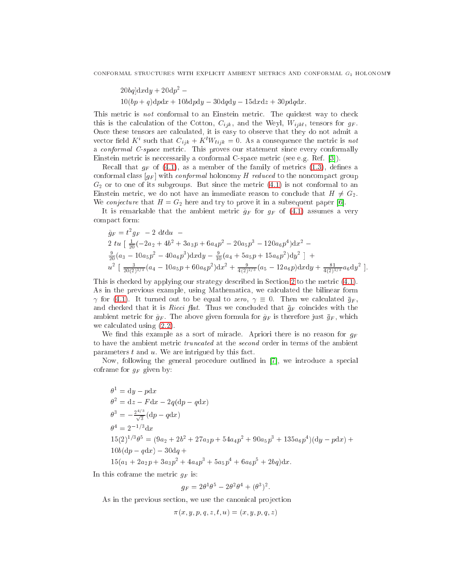$200q$ |a $x$ a $y$  + 20a $p^{-}$   $10(bp+q)dpdx + 10bdpdy - 30dqdy - 15dxdz + 30pdqdx.$ 

This metric is *not* conformal to an Einstein metric. The quickest way to check this is the calculation of the Cotton,  $C_{ijk}$ , and the Weyl,  $W_{ijkl}$ , tensors for  $g_F$ . Once these tensors are calculated, it is easy to observe that they do not admit a vector held  $K$  such that  $C_{ijk} + K[W_{lijk}] = 0$ . As a consequence the metric is not a onformal C-spa
e metri
. This proves our statement sin
e every onformally Einstein metric is neccessarily a conformal C-space metric (see e.g. Ref. [3]).

Recall that  $g_F$  of [\(4.1\)](#page-7-1), as a member of the family of metrics [\(1.3\)](#page-1-0), defines a conformal class  $[g_F]$  with *conformal* holonomy H reduced to the noncompact group  $G_2$  or to one of its subgroups. But since the metric  $(4.1)$  is not conformal to an Einstein metric, we do not have an immediate reason to conclude that  $H \neq G_2$ . We *conjecture* that  $H = G_2$  here and try to prove it in a subsequent paper [6].

It is remarkable that the ambient metric  $\tilde{g}_F$  for  $g_F$  of [\(4.1\)](#page-7-1) assumes a very ompa
t form:

$$
\tilde{g}_F = t^2 g_F - 2 dt du -
$$
\n
$$
2 tu \left[ \frac{1}{20} (-2a_2 + 4b^2 + 3a_3p + 6a_4p^2 - 20a_5p^3 - 120a_6p^4) dx^2 -
$$
\n
$$
\frac{9}{20} (a_3 - 10a_5p^2 - 40a_6p^3) dx dy - \frac{9}{10} (a_4 + 5a_5p + 15a_6p^2) dy^2 \right] +
$$
\n
$$
u^2 \left[ \frac{3}{20(2)^{2/3}} (a_4 - 10a_5p + 60a_6p^2) dx^2 + \frac{9}{4(2)^{2/3}} (a_5 - 12a_6p) dx dy + \frac{81}{4(2)^{2/3}} a_6 dy^2 \right].
$$

This is checked by applying our strategy described in Section [2](#page-2-2) to the metric  $(4.1)$ . As in the previous example, using Mathematica, we calculated the bilinear form  $\gamma$  for [\(4.1\)](#page-7-1). It turned out to be equal to zero,  $\gamma \equiv 0$ . Then we calculated  $\bar{g}_F$ , and checked that it is *Ricci flat*. Thus we concluded that  $\bar{g}_F$  coincides with the ambient metric for  $\tilde{g}_F$ . The above given formula for  $\tilde{g}_F$  is therefore just  $\bar{g}_F$ , which we calculated using  $(2.2)$ .

We find this example as a sort of miracle. Apriori there is no reason for  $g_F$ to have the ambient metric *truncated* at the *second* order in terms of the ambient parameters  $t$  and  $u$ . We are intrigued by this fact.

Now, following the general procedure outlined in [7], we introduce a special coframe for  $g_F$  given by:

$$
\theta^{1} = dy - pdx
$$
  
\n
$$
\theta^{2} = dz - Fdx - 2q(dp - qdx)
$$
  
\n
$$
\theta^{3} = -\frac{2^{4/3}}{\sqrt{3}}(dp - qdx)
$$
  
\n
$$
\theta^{4} = 2^{-1/3}dx
$$
  
\n
$$
15(2)^{1/3}\theta^{5} = (9a_{2} + 2b^{2} + 27a_{3}p + 54a_{4}p^{2} + 90a_{5}p^{3} + 135a_{6}p^{4})(dy - pdx) +
$$
  
\n
$$
10b(dp - qdx) - 30dq +
$$
  
\n
$$
15(a_{1} + 2a_{2}p + 3a_{3}p^{2} + 4a_{4}p^{3} + 5a_{5}p^{4} + 6a_{6}p^{5} + 2bq)dx.
$$

In this coframe the metric  $g_F$  is:

$$
g_F = 2\theta^1 \theta^5 - 2\theta^2 \theta^4 + (\theta^3)^2.
$$

As in the previous section, we use the canonical projection

$$
\pi(x, y, p, q, z, t, u) = (x, y, p, q, z)
$$